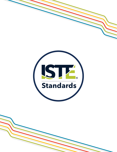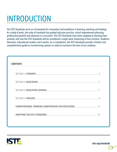# INTRODUCTION

The ISTE Standards serve as a framework for innovation and excellence in learning, teaching and leading. As a body of work, the suite of standards has guided educator practice, school improvement planning, professional growth and advances in curriculum. The ISTE Standards have been updated as learning have evolved, and now the ISTE Standards will be considered a single work comprising of four sections: Students, Educators, Educational Leaders and Coaches. As a compilation, the ISTE Standards provide a holistic and comprehensive guide to transforming systems in order to transform the lives of our students.

| <b>CONTENTS</b> |    |
|-----------------|----|
|                 |    |
|                 |    |
|                 |    |
|                 |    |
|                 |    |
|                 | 13 |



[iste.org/standards](http://iste.org/standards)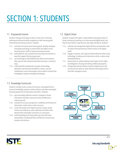# <span id="page-2-0"></span>SECTION 1: STUDENTS

#### 1.1. Empowered Learner

Students leverage technology to take an active role in choosing, achieving and demonstrating competency in their learning goals, informed by the learning sciences. Students:

- 1.1.a. articulate and set personal learning goals, develop strategies leveraging technology to achieve them and reflect on the learning process itself to improve learning outcomes.
- 1.1.b. build networks and customize their learning environments in ways that support the learning process.
- 1.1.c. use technology to seek feedback that informs and improves their practice and to demonstrate their learning in a variety of ways.
- 1.1.d. understand the fundamental concepts of technology operations, demonstrate the ability to choose, use and troubleshoot current technologies and are able to transfer their knowledge to explore emerging technologies.

#### 1.2. Digital Citizen

Students recognize the rights, responsibilities and opportunities of living, learning and working in an interconnected digital world, and they act and model in ways that are safe, legal and ethical. Students:

- 1.2.a. cultivate and manage their digital identity and reputation and are aware of the permanence of their actions in the digital world.
- 1.2.b. engage in positive, safe, legal and ethical behavior when using technology, including social interactions online or when using networked devices.
- 1.2.c. demonstrate an understanding of and respect for the rights and obligations of using and sharing intellectual property.
- 1.2.d. manage their personal data to maintain digital privacy and security and are aware of data-collection technology used to track their navigation online.

#### 1.3. Knowledge Constructor

Students critically curate a variety of resources using digital tools to construct knowledge, produce creative artifacts and make meaningful learning experiences for themselves and others. Students:

- 1.3.a. plan and employ effective research strategies to locate information and other resources for their intellectual or creative pursuits.
- 1.3.b. evaluate the accuracy, perspective, credibility and relevance of information, media, data or other resources.
- 1.3.c. curate information from digital resources using a variety of tools and methods to create collections of artifacts that demonstrate meaningful connections or conclusions.
- 1.3.d. build knowledge by actively exploring real-world issues and problems, developing ideas and theories and pursuing answers and solutions.

**EMPOWERED LEARNER GLOBAL DIGITAL COLLABORATOR CITIZEN Standards CREATIVE STUDENTS KNOWLEDGE COMMUNICATOR CONSTRUCTOR COMPUTATIONAL INNOVATIVE THINKER DESIGNER** 



[iste.org/standards](http://iste.org/standards)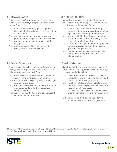#### 1.4. Innovative Designer

Students use a variety of technologies within a design process to identify and solve problems by creating new, useful or imaginative solutions. Students:

- 1.4.a. know and use a deliberate design process for generating ideas, testing theories, creating innovative artifacts or solving authentic problems.
- 1.4.b. select and use digital tools to plan and manage a design process that considers design constraints and calculated risks.
- 1.4.c. develop, test and refine prototypes as part of a cyclical design process.
- 1.4.d. exhibit a tolerance for ambiguity, perseverance and the capacity to work with open-ended problems.

### 1.5. Computational Thinker

Students develop and employ strategies for understanding and solving problems in ways that leverage the power of technological methods to develop and test solutions. Students:

- 1.5.a. formulate problem definitions suited for technologyassisted methods such as data analysis, abstract models and algorithmic thinking in exploring and finding solutions.
- 1.5.b. collect data or identify relevant data sets, use digital tools to analyze them, and represent data in various ways to facilitate problem-solving and decision-making.
- 1.5.c. break problems into component parts, extract key information, and develop descriptive models to understand complex systems or facilitate problem-solving.
- 1.5.d. understand how automation works and use algorithmic thinking to develop a sequence of steps to create and test automated solutions.

#### 1.6. Creative Communicator

Students communicate clearly and express themselves creatively for a variety of purposes using the platforms, tools, styles, formats and digital media appropriate to their goals. Students:

- 1.6.a. choose the appropriate platforms and tools for meeting the desired objectives of their creation or communication.
- 1.6.b. create original works or responsibly repurpose or remix digital resources into new creations.
- 1.6.c. communicate complex ideas clearly and effectively by creating or using a variety of digital objects such as visualizations, models or simulations.
- 1.6.d. publish or present content that customizes the message and medium for their intended audiences.

#### 1.7. Global Collaborator

Students use digital tools to broaden their perspectives and enrich their learning by collaborating with others and working effectively in teams locally and globally. Students:

- 1.7.a. use digital tools to connect with learners from a variety of backgrounds and cultures, engaging with them in ways that broaden mutual understanding and learning.
- 1.7.b. use collaborative technologies to work with others, including peers, experts or community members, to examine issues and problems from multiple viewpoints.
- 1.7.c. contribute constructively to project teams, assuming various roles and responsibilities to work effectively toward a common goal.
- 1.7.d. explore local and global issues and use collaborative technologies to work with others to investigate solutions.

ISTE Standards•S © 2016 International Society for Technology in Education. ISTE® is a registered trademark of the International Society for Technology in Education. If you would like to reproduce this material, please contact [permissions@iste.org](mailto:permissions@iste.org).



#### [iste.org/standards](http://iste.org/standards)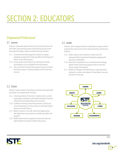# <span id="page-4-0"></span>SECTION 2: EDUCATORS

### *Empowered Professional*

#### 2.1. Learner

Teachers continually improve their practice by learning from and with others and exploring proven and promising practices that leverage technology to improve student learning. Teachers:

- 2.1.a. Set professional learning goals to explore and apply pedagogical approaches made possible by technology and reflect on their effectiveness.
- 2.1.b. Pursue professional interests by creating and actively participating in local and global learning networks.
- 2.1.c. Stay current with research that supports improved student learning outcomes, including findings from the learning sciences.

#### 2.2. Leader

Teachers seek out opportunities for leadership to support student empowerment and success and to improve teaching and learning. Teachers:

- 2.3.a. Shape, advance and accelerate a shared vision for empowered learning with technology by engaging with education stakeholders.
- 2.3.b. Advocate for equitable access to educational technology, digital content and learning opportunities to meet the diverse needs of all students.
- 2.3.c. Model for colleagues the identification, experimentation, evaluation, curation and adoption of new digital resources and tools for learning.



#### 2.3. Citizen

Teachers inspire students to positively contribute and responsibly participate in the digital world. Teachers:

- 2.2.a. Create experiences for learners to make positive, socially responsible contributions and exhibit empathetic behavior online that build relationships and community.
- 2.2.b. Establish a learning culture that promotes curiosity and critical examination of online resources and fosters digital literacy and media fluency.
- 2.2.c. Mentor students in the safe, ethical and legal practice with digital tools and protection of intellectual rights and property.
- 2.2.d. Model and promote management of personal data and digital identity and protect student data privacy.

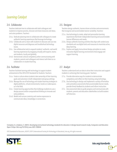### *Learning Catalyst*

#### 2.4. Collaborator

Teachers dedicate time to collaborate with both colleagues and students to improve practice, discover and share resources and ideas, and solve problems. Teachers:

- 2.4.a. Dedicate planning time to collaborate with colleagues to create authentic learning experiences that leverage technology.
- 2.4.b. Collaborate and co-learn with students to discover and use new digital resources and diagnose and troubleshoot technology issues.
- 2.4.c. Use collaborative tools to expand students' authentic, real-world learning experiences by engaging virtually with experts, teams and students, locally and globally.
- 2.4.d. Demonstrate cultural competency when communicating with students, parents and colleagues and interact with them as cocollaborators in student learning.

#### 2.6. Facilitator

Teachers facilitate learning with technology to support student achievement of the 2016 ISTE Standards for Students. Teachers:

- 2.6.a. Foster a culture where students take ownership of their learning goals and outcomes in both independent and group settings.
- 2.6.b. Manage the use of technology and student learning strategies in digital platforms, virtual environments, hands-on makerspaces or in the field.
- 2.6.c. Create learning opportunities that challenge students to use a design process and/or computational thinking to innovate and solve problems.
- 2.6.d. Model and nurture creativity and creative expression to communicate ideas, knowledge or connections.

#### 2.5. Designer

Teachers design authentic, learner-driven activities and environments that recognize and accommodate learner variability. Teachers:

- 2.5.a. Use technology to create, adapt and personalize learning experiences that foster independent learning and accommodate learner differences and needs.
- 2.5.b. Design authentic learning activities that align with content area standards and use digital tools and resources to maximize active, deep learning.
- 2.5.c. Explore and apply instructional design principles to create innovative digital learning environments that engage and support learning.

#### 2.7. Analyst

Teachers understand and use data to drive their instruction and support students in achieving their learning goals. Teachers:

- 2.7.a. Provide alternative ways for students to demonstrate competency and reflect on their learning using technology.
- 2.7.b. Use technology to design and implement a variety of formative and summative assessments that accommodate learner needs, provide timely feedback to students and inform instruction.
- 2.7.c. Use assessment data to guide progress and communicate with students, parents and education stakeholders to build student self-direction.

Crompton, H., & Sykora, C. (2021). Developing instructional technology standards for educators: A design-based research study. Computers and Education Open 2 https://doi.org/10.1016/j.caeo.2021.10004[4](https://doi.org/10.1016/j.caeo.2021.100044)

ISTE Standards for Educators, ©2017, ISTE® (International Society for Technology in Education), [iste.org.](http://iste.org) All rights reserved.

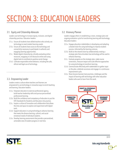# <span id="page-6-0"></span>SECTION 3: EDUCATION LEADERS

#### 3.1. Equity and Citizenship Advocate

Leaders use technology to increase equity, inclusion, and digital citizenship practices. Education leaders:

- 3.1.a. Ensure all students have skilled teachers who actively use technology to meet student learning needs.
- 3.1.b. Ensure all students have access to the technology and connectivity necessary to participate in authentic and engaging learning opportunities.
- 3.1.c. Model digital citizenship by critically evaluating online resources, engaging in civil discourse online and using digital tools to contribute to positive social change.
- 3.1.d. Cultivate responsible online behavior, including the safe, ethical and legal use of technology.

Leaders create a culture where teachers and learners are empowered to use technology in innovative ways to enrich teaching and learning. Education leaders:

- 3.3.a. Empower educators to exercise professional agency, build teacher leadership skills and pursue personalized professional learning.
- 3.3.b. Build the confidence and competency of educators to put the ISTE Standards for Students and Educators into practice.
- 3.3.c. Inspire a culture of innovation and collaboration that allows the time and space to explore and experiment with digital tools.
- 3.3.d. Support educators in using technology to advance learning that meets the diverse learning, cultural, and socialemotional needs of individual students.
- 3.3.e. Develop learning assessments that provide a personalized, actionable view of student progress in real time.

#### 3.2. Visionary Planner

Leaders engage others in establishing a vision, strategic plan and ongoing evaluation cycle for transforming learning with technology. Education leaders:

- 3.2.a. Engage education stakeholders in developing and adopting a shared vision for using technology to improve student success, informed by the learning sciences.
- 3.2.b. Build on the shared vision by collaboratively creating a strategic plan that articulates how technology will be used to enhance learning.
- 3.2.c. Evaluate progress on the strategic plan, make course corrections, measure impact and scale effective approaches for using technology to transform learning.
- 3.2.d. Communicate effectively with stakeholders to gather input on the plan, celebrate successes and engage in a continuous improvement cycle.
- 3.2.e. Share lessons learned, best practices, challenges and the impact of learning with technology with other education 3.3. Empowering Leader and the contract of the leaders who want to learn from this work.





#### [iste.org/standards](http://iste.org/standards)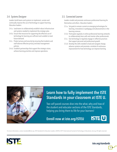#### 3.4. Systems Designer

Leaders build teams and systems to implement, sustain and continually improve the use of technology to support learning. Education leaders:

- 3.4.a. Lead teams to collaboratively establish robust infrastructure and systems needed to implement the strategic plan.
- 3.4.b. Ensure that resources for supporting the effective use of technology for learning are sufficient and scalable to meet future demand.
- 3.4.c. Protect privacy and security by ensuring that students and staff observe effective privacy and data management policies.
- 3.4.d. Establish partnerships that support the strategic vision, achieve learning priorities and improve operations.

#### 3.5. Connected Learner

Leaders model and promote continuous professional learning for themselves and others. Education leaders:

- 3.5.a. Set goals to remain current on emerging technologies for learning, innovations in pedagogy and advancements in the learning sciences.
- 3.5.b. Participate regularly in online professional learning networks to collaboratively learn with and mentor other professionals.
- 3.5.c. Use technology to regularly engage in reflective practices that support personal and professional growth.
- 3.5.d. Develop the skills needed to lead and navigate change, advance systems and promote a mindset of continuous improvement for how technology can improve learning.

### [Learn how to fully implement the ISTE](http://iste.org/ISTEU)  Standards in your classroom at ISTE U.

Two self-paced courses dive into the what, why and how of the student and educator sections of the ISTE Standards, helping you bring them to life for your learners!

Enroll now at iste.org/ISTEU

For more information, contact [standards@iste.org](mailto:standards@iste.org). ISTE Standards for Education Leaders, ©2018, ISTE® (International Society for Technology in Education), [iste.org.](http://iste.org) All rights reserved.



**ISTE U**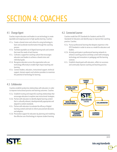# <span id="page-8-0"></span>SECTION 4: COACHES

#### 4.1. Change Agent

Coaches inspire educators and leaders to use technology to create equitable and ongoing access to high-quality learning. Coaches:

- 4.1.a. Create a shared vision and culture for using technology to learn and accelerate transformation through the coaching process.
- 4.1.b. Facilitate equitable use of digital learning tools and content that meet the needs of each learner.
- 4.1.c. Cultivate a supportive coaching culture that encourages educators and leaders to achieve a shared vision and individual goals.
- 4.1.d. Recognize educators across the organization who use technology effectively to enable high-impact teaching and learning.
- 4.1.e. Connect leaders, educators, instructional support, technical support, domain experts and solution providers to maximize the potential of technology for learning.

#### 4.3. Collaborator

Coaches establish productive relationships with educators in order to improve instructional practice and learning outcomes. Coaches:

- 4.3.a. Establish trusting and respectful coaching relationships that encourage educators to explore new instructional strategies.
- 4.3.b. Partner with educators to identify digital learning content that is culturally relevant, developmentally appropriate and aligned to content standards.
- 4.3.c. Partner with educators to evaluate the efficacy of digital learning content and tools to inform procurement decisions and adoption.
- 4.3.d. Personalize support for educators by planning and modeling the effective use of technology to improve student learning.

#### 4.2. Connected Learner

Coaches model the ISTE Standards for Students and the ISTE Standards for Educators and identify ways to improve their coaching practice. Coaches:

- 4.2.a. Pursue professional learning that deepens expertise in the ISTE Standards in order to serve as a model for educators and leaders.
- 4.2.b. Actively participate in professional learning networks to enhance coaching practice and keep current with emerging technology and innovations in pedagogy and the learning sciences.
- 4.2.c. Establish shared goals with educators, reflect on successes and continually improve coaching and teaching practice.





#### [iste.org/standards](http://iste.org/standards)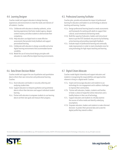#### 4.4. Learning Designer

Coaches model and support educators to design learning experiences and environments to meet the needs and interests of all students. Coaches:

- 4.4.a. Collaborate with educators to develop authentic, active learning experiences that foster student agency, deepen content mastery and allow students to demonstrate their competency.
- 4.4.b. Help educators use digital tools to create effective assessments that provide timely feedback and support personalized learning.
- 4.4.c. Collaborate with educators to design accessible and active digital learning environments that accommodate learner variability.
- 4.4.d. Model the use of instructional design principles with educators to create effective digital learning environments.

#### 4.6. Data-Driven Decision-Maker

Coaches model and support the use of qualitative and quantitative data to inform their own instruction and professional learning. Coaches:

- 4.6.a. Assist educators and leaders in securely collecting and analyzing student data.
- 4.6.b. Support educators to interpret qualitative and quantitative data to inform their decisions and support individual student learning.
- 4.6.c. Partner with educators to empower students to use learning data to set their own goals and measure their progress.

#### 4.5. Professional Learning Facilitator

Coaches plan, provide and evaluate the impact of professional learning for educators and leaders to use technology to advance teaching and learning. Coaches:

- 4.5.a. Design professional learning based on needs assessments and frameworks for working with adults to support their cultural, social-emotional and learning needs.
- 4.5.b. Build the capacity of educators, leaders and instructional teams to put the ISTE Standards into practice by facilitating active learning and providing meaningful feedback.
- 4.5.c. Evaluate impact of professional learning and continually make improvements in order to meet schoolwide vision for using technology for high-impact teaching and learning.

#### 4.7. Digital Citizen Advocate

Coaches model digital citizenship and support educators and students in recognizing the responsibilities and opportunities inherent in living in a digital world. Coaches:

- 4.7.a. Inspire and encourage educators and students to use technology for civic engagement and to address challenges to improve their communities.
- 4.7.b. Partner with educators, leaders, students and families to foster a culture of respectful online interactions and a healthy balance in their use of technology.
- 4.7.c. Support educators and students to critically examine the sources of online media and identify underlying assumptions.
- 4.7.d. Empower educators, leaders and students to make informed decisions to protect their personal data and curate the digital profile they intend to reflect.

For more information, contact [standards@iste.org](mailto:standards@iste.org). ISTE Standards for Coaches, ©2019, ISTE (International Society for Technology in Education), [iste.org](http://iste.org). All rights reserved.

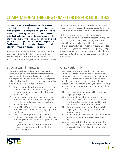### <span id="page-10-0"></span>COMPUTATIONAL THINKING COMPETENCIES FOR EDUCATORS

Leaders and educators around the world have the enormous responsibility of preparing all students for success in a future where computing power underpins every aspect of the systems we encounter in our daily lives. Ensuring that every student understands and is able to harness the power of computing to improve their success in their personal, academic or professional lives is an ambitious goal. The ISTE Standards: Computational Thinking Competencies for Educators is intended to help all educators contribute to making that goal a reality.

Similarly to how technology is used by educators to deepen content area learning while building digital learning skills, teachers can integrate CT practices in their instruction to introduce computational ideas. This will enhance student content knowledge and build confidence and competence

#### 5.1. Computational Thinking (Learner)

Educators continually improve their practice by developing an understanding of computational thinking and its application as a cross-curricular skill. Educators develop a working knowledge of core components of computational thinking: such as decomposition; gathering and analyzing data; abstraction; algorithm design; and how computing impacts people and society. Educators:

- 5.1.a. Set professional learning goals to explore and apply teaching strategies for integrating CT practices into learning activities in ways that enhance student learning of both the academic discipline and CS concepts.
- 5.1.b. Learn to recognize where and how computation can be used to enrich data or content to solve discipline-specific problems and be able to connect these opportunities to foundational CT practices and CS concepts.
- 5.1.c. Leverage CT and CS experts, resources and professional learning networks to continuously improve practice integrating CT across content areas.
- 5.1.d. Develop resilience and perseverance when approaching CS and CT learning experiences, build comfort with ambiguity and open-ended problems, and see failure as an opportunity to learn and innovate.
- 5.1.e. Recognize how computing and society interact to create opportunities, inequities, responsibilities and threats for individuals and organizations.

in CT. By integrating computational thinking into the classroom, educators can support students to develop problem-solving and critical-thinking skills, and empower them for success as CS learners and computational thinkers.

This document is not a one-size-fits-all list of expectations, but a recognition that competencies present different opportunities for growth and goal-setting for educators. Educators are doing powerful work to integrate CT across other disciplines to enable students to learn, use and apply CS concepts and CT practices across different contexts. ISTE seeks to help educators recognize where this work is already happening, identify opportunities to make these connections more explicit, and develop new ways to deepen student learning in CS, using computational thinking to drive that work.

#### 5.2. Equity Leader (Leader)

All students and educators have the ability to be computational thinkers and CS learners. Educators proactively counter stereotypes that exclude students from opportunities to excel in computing and foster an inclusive and diverse classroom culture that incorporates and values unique perspectives; builds student self-efficacy and confidence around computing; addresses varying needs and strengths; and addresses bias in interactions, design and development methods. Educators:

- 5.2.a. Nurture a confident, competent and positive identity around computing for every student.
- 5.2.b. Construct and implement culturally relevant learning activities that address a diverse range of ethical, social and cultural perspectives on computing and highlight computing achievements from diverse role models and teams.
- 5.2.c. Choose teaching approaches that help to foster an inclusive computing culture, avoid stereotype threat and equitably engage all students.
- 5.2.d. Assess and manage classroom culture to drive equitable student participation, address exclusionary dynamics and counter implicit bias.
- 5.2.e. Communicate with students, parents and leaders about the impacts of computing in our world and across diverse roles and professional life, and why these skills are essential for all students.

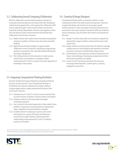### 5.3. Collaborating Around Computing (Collaborator)

Effective collaboration around computing requires educators to incorporate diverse perspectives and unique skills when developing student learning opportunities, and recognize that collaboration skills must be explicitly taught in order to lead to better outcomes than individuals working independently. Educators work together to select tools and design activities and environments that facilitate these collaborations and outcomes. Educators:

- 5.3.a. Model and learn with students how to formulate computational solutions to problems and how to give and receive actionable feedback.
- 5.3.b. Apply effective teaching strategies to support student collaboration around computing, including pair programming, working in varying team roles, equitable workload distribution and project management.
- 5.3.c. Plan collaboratively with other educators to create learning activities that cross disciplines to strengthen student understanding of CT and CS concepts and transfer application of knowledge in new contexts.

#### 5.4. Creativity & Design (Designer)

Computational thinking skills can empower students to create computational artifacts that allow for personal expression. Educators recognize that design and creativity can encourage a growth mindset and work to create meaningful CS learning experiences and environments that inspire students to build their skills and confidence around computing in ways that reflect their interests and experiences. Educators:

- 5.4.a. Design CT activities where data can be obtained, analyzed and represented to support problem-solving and learning in other content areas.
- 5.4.b. Design authentic learning activities that ask students to leverage a design process to solve problems with awareness of technical and human constraints and defend their design choices.
- 5.4.c. Guide students on the importance of diverse perspectives and human-centered design in developing computational artifacts with broad accessibility and usability.
- 5.4.d. Create CS and CT learning environments that value and encourage varied viewpoints, student agency, creativity, engagement, joy and fun.

5.5. Integrating Computational Thinking (Facilitator)

Educators facilitate learning by integrating computational thinking practices into the classroom. Since computational thinking is a foundational skill, educators develop every student's ability to recognize opportunities to apply computational thinking in their environment. Educators:

- 5.5.a. Evaluate and use CS and CT curricula, resources and tools that account for learner variability to meet the needs of all students.
- 5.5.b. Empower students to select personally meaningful computational projects.
- 5.5.c. Use a variety of instructional approaches to help students frame problems in ways that can be represented as computational steps or algorithms to be performed by a computer.
- 5.5.d. Establish criteria for evaluating CT practices and content learning that use a variety of formative and alternative assessments to enable students to demonstrate their understanding of age-appropriate CS and CT vocabulary, practices and concepts.

For more information, contact [standards@iste.org](mailto:standards@iste.org). ISTE Standards for Educators: Computational Thinking Competencies, ©2018, ISTE® (International Society for Technology in Education), [iste.org](http://iste.org). All rights reserved.



#### [iste.org/standards](http://iste.org/standards)